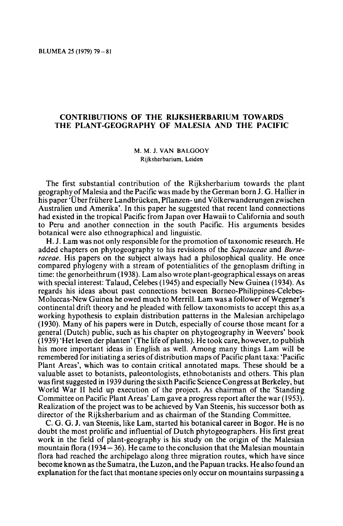## CONTRIBUTIONS OF THE RIJKSHERBARIUM TOWARDS<br>THE PLANT-GEOGRAPHY OF MALESIA AND THE PACIFIC

M.M.J. van Balgooy Rijksherbarium, Leiden

The first substantial contribution of the Rijksherbarium towards the plant geography of Malesia and the Pacific was madeby the German born J. G. Hallier in his paper 'Über frühere Landbrücken, Pflanzen- und Völkerwanderungen zwischen Australien und Amerika'. In this paper he suggested that recent land connections had existed in the tropical Pacific from Japan over Hawaii to California and south to Peru and another connection in the south Pacific. His arguments besides botanical were also ethnographical and linguistic.

H.J. Lam was not only responsible forthe promotion of taxonomic research. He added chapters on phytogeography to his revisions of the Sapotaceae and Burseraceae. His papers on the subject always had <sup>a</sup> philosophical quality. He once compared phylogeny with <sup>a</sup> stream of potentialities of the genoplasm drifting in time: the genorheithrum (1938). Lam also wrote plant-geographical essays on areas with special interest: Talaud, Celebes (1945) and especially New Guinea (1934). As regards his ideas about past connections between Borneo-Philippines-Celebes-Moluccas-New Guinea he owed much to Merrill. Lam was a follower of Wegener's continental drift theory and he pleaded with fellow taxonomists to accept this as a working hypothesis to explain distribution patterns in the Malesian archipelago (1930). Many of his papers were in Dutch, especially of course those meant for <sup>a</sup> general (Dutch) public, such as his chapter on phytogeography in Weevers' book (1939) 'Het leven der planten' (The life of plants). He took care, however, to publish his more important ideas in English as well. Among many things Lam will be remembered for initiating a series of distribution maps of Pacific plant taxa: 'Pacific Plant Areas', which was to contain critical annotated maps. These should be a valuable asset to botanists, paleontologists, ethnobotanists and others. This plan was first suggested in 1939 during the sixth Pacific Science Congress at Berkeley, but World War II held up execution of the project. As chairman of the 'Standing Committeeon Pacific Plant Areas' Lam gave <sup>a</sup> progress report after the war (1953). Realization of the project was to be achieved by Van Steenis, his successor both as director of the Rijksherbarium and as chairman of the Standing Committee.

C. G. G. J. van Steenis, like Lam, started his botanical career in Bogor. He is no doubt the most prolific and influential of Dutch phytogeographers. His first great work in the field of plant-geography is his study on the origin of the Malesian mountain flora (1934 – 36). He came to the conclusion that the Malesian mountain flora had reached the archipelago along three migration routes, which have since become known as the Sumatra, the Luzon, and the Papuan tracks. He also found an explanation for the fact that montanespecies only occur on mountains surpassing <sup>a</sup>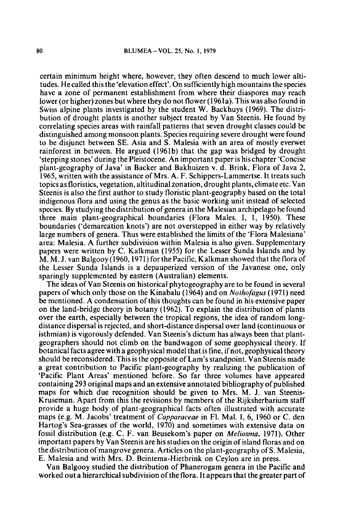certain minimum height where, however, they often descend to much lower altitudes. He called this the 'elevation effect'. On sufficiently high mountains the species have <sup>a</sup> zone of permanent establishment from where their diaspores may reach lower (or higher) zones but where they do not flower (1961a). This was also found in Swiss alpine plants investigated by the student W. Backhuys (1969). The distribution of drought plants is another subject treated by Van Steenis. He found by correlating species areas with rainfall patterns that seven drought classes could be distinguished among monsoon plants. Species requiring severe drought were found to be disjunct between SE. Asia and S. Malesia with an area of mostly everwet rainforest in between. He argued (1961b) that the gap was bridged by drought 'stepping stones' during the Pleistocene. An important paperis his chapter 'Concise plant-geography of Java' in Backer and Bakhuizen v. d. Brink, Flora of Java 2, 1965, written with the assistance of Mrs. A. F. Schippers-Lammertse. It treats such topics as floristics, vegetation, altitudinal zonation, drought plants, climate etc. Van Steenis is also the first author to study floristic plant-geography based on the total indigenous flora and using the genus as the basic working unit instead of selected species. By studying the distribution of genera in the Malesian archipelago he found three main plant-geographical boundaries (Flora Males. I, 1, 1950). These boundaries ('demarcation knots') are not overstepped in either way by relatively large numbers of genera. Thus were established the limits of the 'Flora Malesiana' area: Malesia. A further subdivision within Malesia is also given. Supplementary papers were written by C. Kalkman (1955) for the Lesser Sunda Islands and by M.M.J, van Balgooy (1960,1971) forthe Pacific, Kalkman showed that the flora of the Lesser Sunda Islands is <sup>a</sup> depauperized version of the Javanese one, only sparingly supplemented by eastern (Australian) elements.

The ideasof Van Steenis on historical phytogeography are to be found in several papers of which only those on the Kinabalu (1964) and on Nothofagus ( 1971) need be mentioned. A condensation of this thoughts can be found in his extensive paper on the land-bridge theory in botany (1962). To explain the distribution of plants over the earth, especially between the tropical regions, the idea of random longdistance dispersal is rejected, and short-distance dispersal over land(continuous or isthmian) is vigorously defended. Van Steenis's dictum has always been that plantgeographers should not climb on the bandwagon of some geophysical theory. If botanical facts agree with a geophysical model that is fine, if not, geophysical theory should be reconsidered.This is the opposite ofLam's standpoint. Van Steenis made <sup>a</sup> great contribution to Pacific plant-geography by realizing the publication of 'Pacific Plant Areas' mentioned before. So far three volumes have appeared containing 293 original maps and an extensive annotated bibliography of published maps for which due recognition should be given to Mrs. M. J. van Steenis-Kruseman. Apart from this the revisions by members of the Rijksherbarium staff provide <sup>a</sup> huge body of plant-geographical facts often illustrated with accurate maps (e.g. M. Jacobs' treatment of *Capparaceae* in Fl. Mal. I, 6, 1960 or C. den Hartog's Sea-grasses of the world, 1970) and sometimes with extensive data on fossil distribution (e.g. C. F. van Beusekom's paper on Meliosma, 1971). Other important papers by Van Steenis are his studies on the origin ofisland florasand on the distribution of mangrove genera. Articles on the plant-geography of S. Malesia, E. Malesia and with Mrs. D. Beintema-Hietbrink on Ceylon are in press.

Van Balgooy studied the distribution of Phanerogam genera in the Pacific and worked out a hierarchical subdivision of the flora. It appears that the greater part of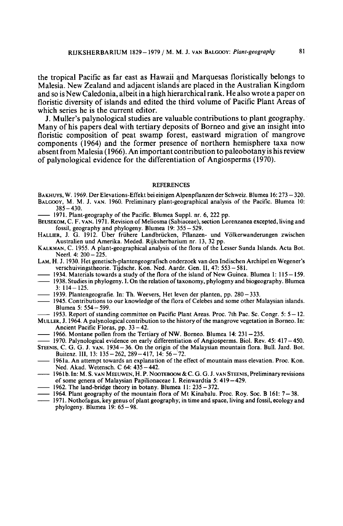the tropical Pacific as far east as Hawaii and Marquesas floristically belongs to Malesia. New Zealand and adjacent islands are placed in the Australian Kingdom and so is New Caledonia, albeit in a high hierarchical rank. He also wrote a paper on floristic diversity of islands and edited the third volume of Pacific Plant Areas of which series he is the current editor.

J. Muller's palynological studies are valuable contributionsto plant geography. Many of his papers deal with tertiary deposits of Borneo and give an insight into floristic composition of peat swamp forest, eastward migration of mangrove components (1964) and the former presence of northern hemisphere taxa now absent fromMalesia (1966). An important contributionto paleobotany is his review of palynological evidence for the differentiationof Angiosperms (1970).

## **REFERENCES**

- BAKHUYS, W. 1969. Der Elevations-Effekt bei einigen Alpenpflanzen der Schweiz. Blumea 16: 273 320. BALGOOY, M. M. J. VAN. 1960. Preliminary plant-geographical analysis of the Pacific Blumea 10:  $385 - 430.$
- 1971. Plant-geography of the Pacific. Blumea Suppl. nr. 6, <sup>222</sup> pp.
- BEUSEKOM, C. F. VAN. 1971. Revision of Meliosma (Sabiaceae), section Lorenzanea excepted, living and fossil, geography and phylogeny. Blumea 19: 355 — 529. HALLIER, J. G. 1912. Uber friihere Landbrucken, Pflanzen- und Volkerwanderungen zwischen
- Australien und Amerika. Meded. Rijksherbarium nr. 13, <sup>32</sup> pp.
- KALKMAN, C. 1955. A plant-geographical analysis of the flora of the Lesser Sunda Islands. Acta Bot. Neerl. 4: 200 - 225.
- LAM, H. J. 1930. Het genetisch-plantengeografisch onderzoek van den Indischen Archipel en Wegener's verschuivingstheorie. Tijdschr. Kon. Ned. Aardr. Gen. II, 47: 553 - 581.
- 1934. Materials towards a study of the flora of the island of New Guinea. Blumea 1:  $115 159$ .
- 1938. Studies in phylogeny. I. On the relation oftaxonomy, phylogeny and biogeography. Blumea 3:114-125.
- 1939. Plantengeografie. In: Th. Weevers, Het leven der planten, pp. 280 333.
- 1945. Contributions to our knowledge of the flora of Celebes and some other Malaysian islands. Blumea 5: 554-599.
- 1953. Report of standing committee on Pacific Plant Areas. Proc. 7th Pac. Sc. Congr. 5: 5— 12.
- MULLER, J. 1964. A palynological contribution to the history of the mangrove vegetation in Borneo. In: Ancient Pacific Floras, pp. 33 — 42.
- 1966. Montane pollen from the Tertiary of NW. Borneo. Blumea 14: <sup>231</sup> —235.
- 1970. Palynological evidence on early differentiation of Angiosperms. Biol. Rev. 45: <sup>417</sup> 450.
- STEENIS, C. G. G. J. VAN. 1934 36. On the origin of the Malaysian mountain flora. Bull. Jard. Bot. Buitenz. Ill, 13: 135-262, 289-417, 14: 56-72.
- 1961a. An attempt towards anexplanation of the effect of mountain mass elevation. Proc. Kon. Ned. Akad. Wetensch. C 64: 435-442.
- 1961b. In: M. S. VAN MEEUWEN, H. P. NOOTEBOOM&C. G. G. J. VAN STEENIS, Preliminaryrevisions of some genera of Malaysian Papilionaceae I. Reinwardtia 5: <sup>419</sup> — 429.
- 1962. The land-bridge theory in botany. Blumea 11: 235 372.
- 1964. Plant geography ofthe mountain flora of Mt Kinabalu. Proc. Roy. Soc. <sup>B</sup> 161: <sup>7</sup> 38.
- 1971. Nothofagus, key genus of plant geography, in time and space, living and fossil, ecology and phylogeny. Blumea 19: 65 — 98.